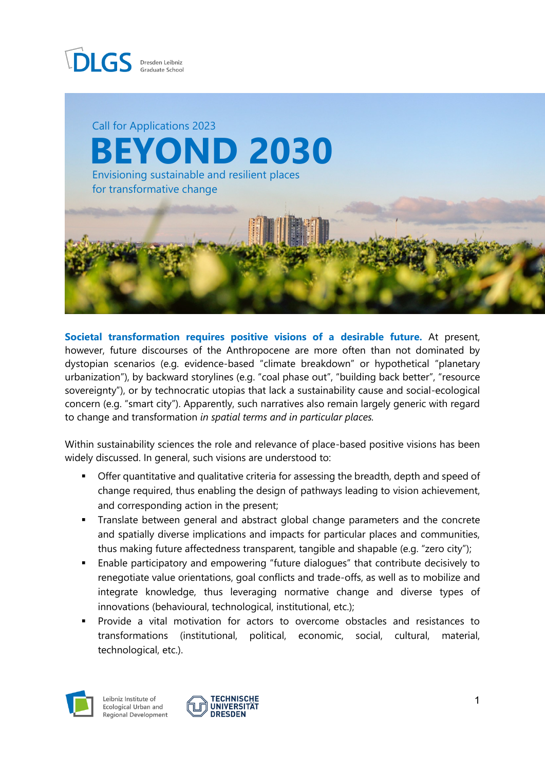



**Societal transformation requires positive visions of a desirable future.** At present, however, future discourses of the Anthropocene are more often than not dominated by dystopian scenarios (e.g. evidence-based "climate breakdown" or hypothetical "planetary urbanization"), by backward storylines (e.g. "coal phase out", "building back better", "resource sovereignty"), or by technocratic utopias that lack a sustainability cause and social-ecological concern (e.g. "smart city"). Apparently, such narratives also remain largely generic with regard to change and transformation *in spatial terms and in particular places.*

Within sustainability sciences the role and relevance of place-based positive visions has been widely discussed. In general, such visions are understood to:

- Offer quantitative and qualitative criteria for assessing the breadth, depth and speed of change required, thus enabling the design of pathways leading to vision achievement, and corresponding action in the present;
- Translate between general and abstract global change parameters and the concrete and spatially diverse implications and impacts for particular places and communities, thus making future affectedness transparent, tangible and shapable (e.g. "zero city");
- Enable participatory and empowering "future dialogues" that contribute decisively to renegotiate value orientations, goal conflicts and trade-offs, as well as to mobilize and integrate knowledge, thus leveraging normative change and diverse types of innovations (behavioural, technological, institutional, etc.);
- Provide a vital motivation for actors to overcome obstacles and resistances to transformations (institutional, political, economic, social, cultural, material, technological, etc.).



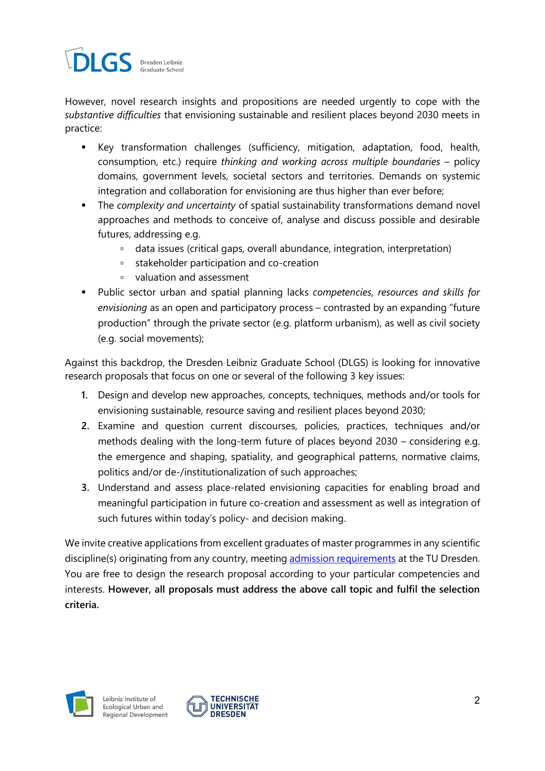

However, novel research insights and propositions are needed urgently to cope with the *substantive difficulties* that envisioning sustainable and resilient places beyond 2030 meets in practice:

- Key transformation challenges (sufficiency, mitigation, adaptation, food, health, consumption, etc.) require *thinking and working across multiple boundaries* – policy domains, government levels, societal sectors and territories. Demands on systemic integration and collaboration for envisioning are thus higher than ever before;
- The *complexity and uncertainty* of spatial sustainability transformations demand novel approaches and methods to conceive of, analyse and discuss possible and desirable futures, addressing e.g.
	- data issues (critical gaps, overall abundance, integration, interpretation)
	- stakeholder participation and co-creation
	- valuation and assessment
- Public sector urban and spatial planning lacks *competencies, resources and skills for envisioning* as an open and participatory process – contrasted by an expanding "future production" through the private sector (e.g. platform urbanism), as well as civil society (e.g. social movements);

Against this backdrop, the Dresden Leibniz Graduate School (DLGS) is looking for innovative research proposals that focus on one or several of the following 3 key issues:

- **1.** Design and develop new approaches, concepts, techniques, methods and/or tools for envisioning sustainable, resource saving and resilient places beyond 2030;
- **2.** Examine and question current discourses, policies, practices, techniques and/or methods dealing with the long-term future of places beyond 2030 – considering e.g. the emergence and shaping, spatiality, and geographical patterns, normative claims, politics and/or de-/institutionalization of such approaches;
- **3.** Understand and assess place-related envisioning capacities for enabling broad and meaningful participation in future co-creation and assessment as well as integration of such futures within today's policy- and decision making.

We invite creative applications from excellent graduates of master programmes in any scientific discipline(s) originating from any country, meeting [admission requirements](http://www.dlgs-dresden.de/application/how-to-apply) at the TU Dresden. You are free to design the research proposal according to your particular competencies and interests. **However, all proposals must address the above call topic and fulfil the selection criteria.**